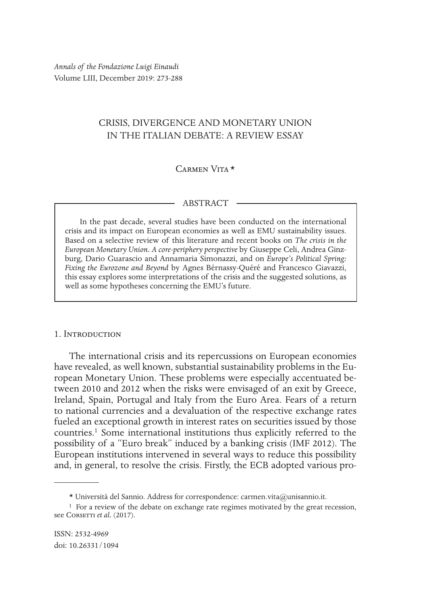*Annals of the Fondazione Luigi Einaudi* Volume LIII, December 2019: 273-288

# CRISIS, DIVERGENCE AND MONETARY UNION IN THE ITALIAN DEBATE: A REVIEW ESSAY

## Carmen Vita \*

#### ABSTRACT

In the past decade, several studies have been conducted on the international crisis and its impact on European economies as well as EMU sustainability issues. Based on a selective review of this literature and recent books on *The crisis in the European Monetary Union. A core-periphery perspective* by Giuseppe Celi, Andrea Ginzburg, Dario Guarascio and Annamaria Simonazzi, and on *Europe's Political Spring: Fixing the Eurozone and Beyond* by Agnes Bérnassy-Quéré and Francesco Giavazzi, this essay explores some interpretations of the crisis and the suggested solutions, as well as some hypotheses concerning the EMU's future.

#### 1. Introduction

The international crisis and its repercussions on European economies have revealed, as well known, substantial sustainability problems in the European Monetary Union. These problems were especially accentuated between 2010 and 2012 when the risks were envisaged of an exit by Greece, Ireland, Spain, Portugal and Italy from the Euro Area. Fears of a return to national currencies and a devaluation of the respective exchange rates fueled an exceptional growth in interest rates on securities issued by those countries.<sup>1</sup> Some international institutions thus explicitly referred to the possibility of a "Euro break" induced by a banking crisis (IMF 2012). The European institutions intervened in several ways to reduce this possibility and, in general, to resolve the crisis. Firstly, the ECB adopted various pro-

<sup>\*</sup> Università del Sannio. Address for correspondence: carmen.vita@unisannio.it.

<sup>&</sup>lt;sup>1</sup> For a review of the debate on exchange rate regimes motivated by the great recession, see CORSETTI et al. (2017).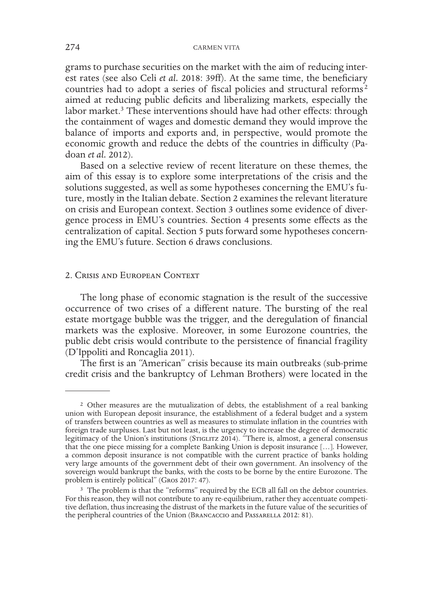grams to purchase securities on the market with the aim of reducing interest rates (see also Celi *et al.* 2018: 39ff). At the same time, the beneficiary countries had to adopt a series of fiscal policies and structural reforms<sup>2</sup> aimed at reducing public deficits and liberalizing markets, especially the labor market.<sup>3</sup> These interventions should have had other effects: through the containment of wages and domestic demand they would improve the balance of imports and exports and, in perspective, would promote the economic growth and reduce the debts of the countries in difficulty (Padoan *et al.* 2012).

Based on a selective review of recent literature on these themes, the aim of this essay is to explore some interpretations of the crisis and the solutions suggested, as well as some hypotheses concerning the EMU's future, mostly in the Italian debate. Section 2 examines the relevant literature on crisis and European context. Section 3 outlines some evidence of divergence process in EMU's countries. Section 4 presents some effects as the centralization of capital. Section 5 puts forward some hypotheses concerning the EMU's future. Section 6 draws conclusions.

### 2. Crisis and European Context

The long phase of economic stagnation is the result of the successive occurrence of two crises of a different nature. The bursting of the real estate mortgage bubble was the trigger, and the deregulation of financial markets was the explosive. Moreover, in some Eurozone countries, the public debt crisis would contribute to the persistence of financial fragility (D'Ippoliti and Roncaglia 2011).

The first is an "American" crisis because its main outbreaks (sub-prime credit crisis and the bankruptcy of Lehman Brothers) were located in the

<sup>2</sup> Other measures are the mutualization of debts, the establishment of a real banking union with European deposit insurance, the establishment of a federal budget and a system of transfers between countries as well as measures to stimulate inflation in the countries with foreign trade surpluses. Last but not least, is the urgency to increase the degree of democratic legitimacy of the Union's institutions (STIGLITZ 2014). "There is, almost, a general consensus that the one piece missing for a complete Banking Union is deposit insurance […]. However, a common deposit insurance is not compatible with the current practice of banks holding very large amounts of the government debt of their own government. An insolvency of the sovereign would bankrupt the banks, with the costs to be borne by the entire Eurozone. The problem is entirely political" (Gros 2017: 47).

<sup>3</sup> The problem is that the "reforms" required by the ECB all fall on the debtor countries. For this reason, they will not contribute to any re-equilibrium, rather they accentuate competitive deflation, thus increasing the distrust of the markets in the future value of the securities of the peripheral countries of the Union (Brancaccio and Passarella 2012: 81).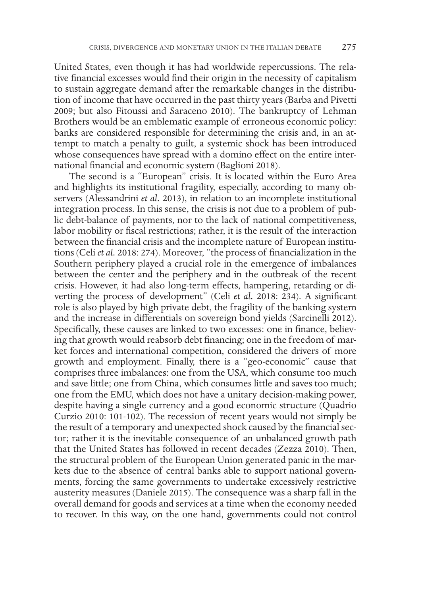United States, even though it has had worldwide repercussions. The relative financial excesses would find their origin in the necessity of capitalism to sustain aggregate demand after the remarkable changes in the distribution of income that have occurred in the past thirty years (Barba and Pivetti 2009; but also Fitoussi and Saraceno 2010). The bankruptcy of Lehman Brothers would be an emblematic example of erroneous economic policy: banks are considered responsible for determining the crisis and, in an attempt to match a penalty to guilt, a systemic shock has been introduced whose consequences have spread with a domino effect on the entire international financial and economic system (Baglioni 2018).

The second is a "European" crisis. It is located within the Euro Area and highlights its institutional fragility, especially, according to many observers (Alessandrini *et al.* 2013), in relation to an incomplete institutional integration process. In this sense, the crisis is not due to a problem of public debt-balance of payments, nor to the lack of national competitiveness, labor mobility or fiscal restrictions; rather, it is the result of the interaction between the financial crisis and the incomplete nature of European institutions (Celi *et al.* 2018: 274). Moreover, "the process of financialization in the Southern periphery played a crucial role in the emergence of imbalances between the center and the periphery and in the outbreak of the recent crisis. However, it had also long-term effects, hampering, retarding or diverting the process of development" (Celi *et al.* 2018: 234). A significant role is also played by high private debt, the fragility of the banking system and the increase in differentials on sovereign bond yields (Sarcinelli 2012). Specifically, these causes are linked to two excesses: one in finance, believing that growth would reabsorb debt financing; one in the freedom of market forces and international competition, considered the drivers of more growth and employment. Finally, there is a "geo-economic" cause that comprises three imbalances: one from the USA, which consume too much and save little; one from China, which consumes little and saves too much; one from the EMU, which does not have a unitary decision-making power, despite having a single currency and a good economic structure (Quadrio Curzio 2010: 101-102). The recession of recent years would not simply be the result of a temporary and unexpected shock caused by the financial sector; rather it is the inevitable consequence of an unbalanced growth path that the United States has followed in recent decades (Zezza 2010). Then, the structural problem of the European Union generated panic in the markets due to the absence of central banks able to support national governments, forcing the same governments to undertake excessively restrictive austerity measures (Daniele 2015). The consequence was a sharp fall in the overall demand for goods and services at a time when the economy needed to recover. In this way, on the one hand, governments could not control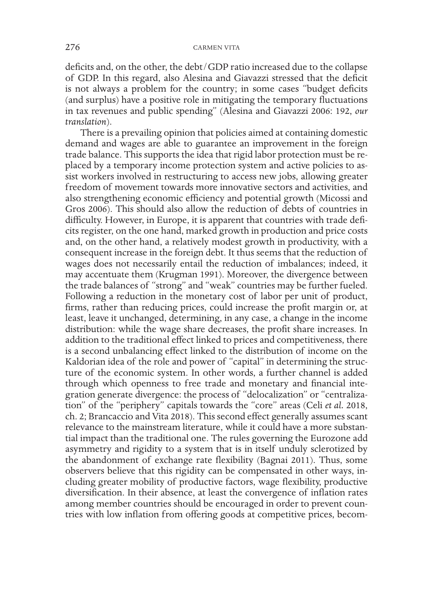deficits and, on the other, the debt/GDP ratio increased due to the collapse of GDP. In this regard, also Alesina and Giavazzi stressed that the deficit is not always a problem for the country; in some cases "budget deficits (and surplus) have a positive role in mitigating the temporary fluctuations in tax revenues and public spending" (Alesina and Giavazzi 2006: 192, *our translation*).

There is a prevailing opinion that policies aimed at containing domestic demand and wages are able to guarantee an improvement in the foreign trade balance. This supports the idea that rigid labor protection must be replaced by a temporary income protection system and active policies to assist workers involved in restructuring to access new jobs, allowing greater freedom of movement towards more innovative sectors and activities, and also strengthening economic efficiency and potential growth (Micossi and Gros 2006). This should also allow the reduction of debts of countries in difficulty. However, in Europe, it is apparent that countries with trade deficits register, on the one hand, marked growth in production and price costs and, on the other hand, a relatively modest growth in productivity, with a consequent increase in the foreign debt. It thus seems that the reduction of wages does not necessarily entail the reduction of imbalances; indeed, it may accentuate them (Krugman 1991). Moreover, the divergence between the trade balances of "strong" and "weak" countries may be further fueled. Following a reduction in the monetary cost of labor per unit of product, firms, rather than reducing prices, could increase the profit margin or, at least, leave it unchanged, determining, in any case, a change in the income distribution: while the wage share decreases, the profit share increases. In addition to the traditional effect linked to prices and competitiveness, there is a second unbalancing effect linked to the distribution of income on the Kaldorian idea of the role and power of "capital" in determining the structure of the economic system. In other words, a further channel is added through which openness to free trade and monetary and financial integration generate divergence: the process of "delocalization" or "centralization" of the "periphery" capitals towards the "core" areas (Celi *et al.* 2018, ch. 2; Brancaccio and Vita 2018). This second effect generally assumes scant relevance to the mainstream literature, while it could have a more substantial impact than the traditional one. The rules governing the Eurozone add asymmetry and rigidity to a system that is in itself unduly sclerotized by the abandonment of exchange rate flexibility (Bagnai 2011). Thus, some observers believe that this rigidity can be compensated in other ways, including greater mobility of productive factors, wage flexibility, productive diversification. In their absence, at least the convergence of inflation rates among member countries should be encouraged in order to prevent countries with low inflation from offering goods at competitive prices, becom-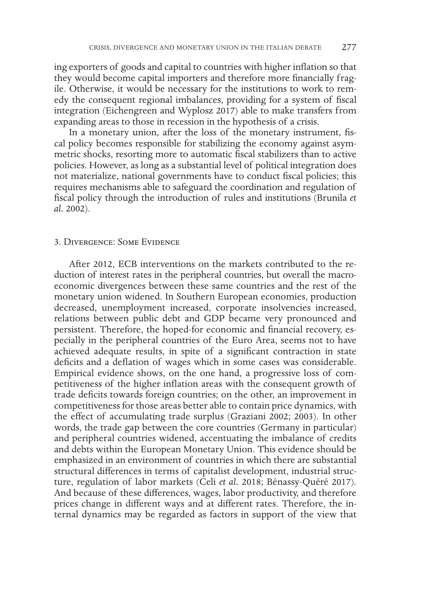ing exporters of goods and capital to countries with higher inflation so that they would become capital importers and therefore more financially fragile. Otherwise, it would be necessary for the institutions to work to remedy the consequent regional imbalances, providing for a system of fiscal integration (Eichengreen and Wyplosz 2017) able to make transfers from expanding areas to those in recession in the hypothesis of a crisis.

In a monetary union, after the loss of the monetary instrument, fiscal policy becomes responsible for stabilizing the economy against asymmetric shocks, resorting more to automatic fiscal stabilizers than to active policies. However, as long as a substantial level of political integration does not materialize, national governments have to conduct fiscal policies; this requires mechanisms able to safeguard the coordination and regulation of fiscal policy through the introduction of rules and institutions (Brunila *et al.* 2002).

### 3. Divergence: Some Evidence

After 2012, ECB interventions on the markets contributed to the reduction of interest rates in the peripheral countries, but overall the macroeconomic divergences between these same countries and the rest of the monetary union widened. In Southern European economies, production decreased, unemployment increased, corporate insolvencies increased, relations between public debt and GDP became very pronounced and persistent. Therefore, the hoped-for economic and financial recovery, especially in the peripheral countries of the Euro Area, seems not to have achieved adequate results, in spite of a significant contraction in state deficits and a deflation of wages which in some cases was considerable. Empirical evidence shows, on the one hand, a progressive loss of competitiveness of the higher inflation areas with the consequent growth of trade deficits towards foreign countries; on the other, an improvement in competitiveness for those areas better able to contain price dynamics, with the effect of accumulating trade surplus (Graziani 2002; 2003). In other words, the trade gap between the core countries (Germany in particular) and peripheral countries widened, accentuating the imbalance of credits and debts within the European Monetary Union. This evidence should be emphasized in an environment of countries in which there are substantial structural differences in terms of capitalist development, industrial structure, regulation of labor markets (Celi *et al.* 2018; Bénassy-Quéré 2017). And because of these differences, wages, labor productivity, and therefore prices change in different ways and at different rates. Therefore, the internal dynamics may be regarded as factors in support of the view that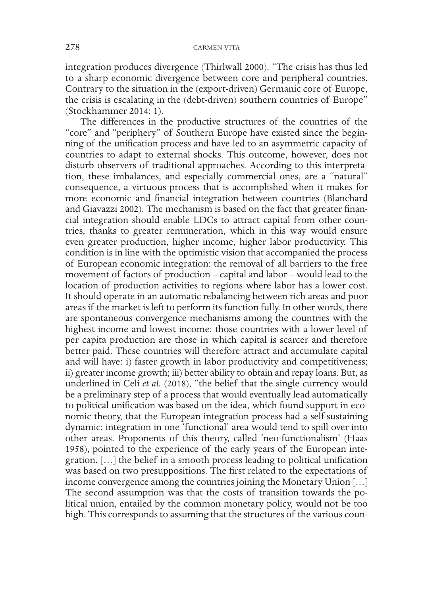integration produces divergence (Thirlwall 2000). "The crisis has thus led to a sharp economic divergence between core and peripheral countries. Contrary to the situation in the (export-driven) Germanic core of Europe, the crisis is escalating in the (debt-driven) southern countries of Europe" (Stockhammer 2014: 1).

The differences in the productive structures of the countries of the "core" and "periphery" of Southern Europe have existed since the beginning of the unification process and have led to an asymmetric capacity of countries to adapt to external shocks. This outcome, however, does not disturb observers of traditional approaches. According to this interpretation, these imbalances, and especially commercial ones, are a "natural" consequence, a virtuous process that is accomplished when it makes for more economic and financial integration between countries (Blanchard and Giavazzi 2002). The mechanism is based on the fact that greater financial integration should enable LDCs to attract capital from other countries, thanks to greater remuneration, which in this way would ensure even greater production, higher income, higher labor productivity. This condition is in line with the optimistic vision that accompanied the process of European economic integration: the removal of all barriers to the free movement of factors of production – capital and labor – would lead to the location of production activities to regions where labor has a lower cost. It should operate in an automatic rebalancing between rich areas and poor areas if the market is left to perform its function fully. In other words, there are spontaneous convergence mechanisms among the countries with the highest income and lowest income: those countries with a lower level of per capita production are those in which capital is scarcer and therefore better paid. These countries will therefore attract and accumulate capital and will have: i) faster growth in labor productivity and competitiveness; ii) greater income growth; iii) better ability to obtain and repay loans. But, as underlined in Celi et al. (2018), "the belief that the single currency would be a preliminary step of a process that would eventually lead automatically to political unification was based on the idea, which found support in economic theory, that the European integration process had a self-sustaining dynamic: integration in one 'functional' area would tend to spill over into other areas. Proponents of this theory, called 'neo-functionalism' (Haas 1958), pointed to the experience of the early years of the European integration. […] the belief in a smooth process leading to political unification was based on two presuppositions. The first related to the expectations of income convergence among the countries joining the Monetary Union […] The second assumption was that the costs of transition towards the political union, entailed by the common monetary policy, would not be too high. This corresponds to assuming that the structures of the various coun-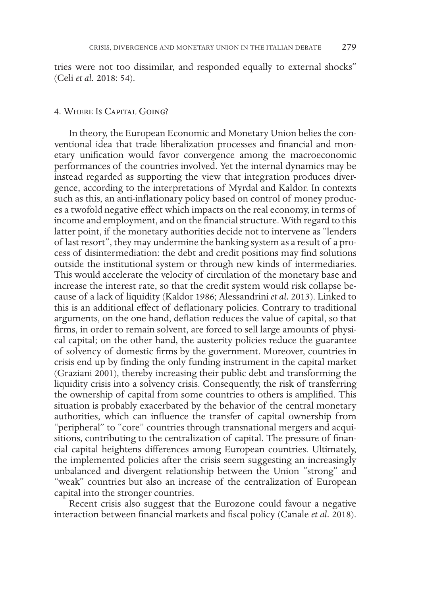tries were not too dissimilar, and responded equally to external shocks" (Celi *et al.* 2018: 54).

### 4. Where Is Capital Going?

In theory, the European Economic and Monetary Union belies the conventional idea that trade liberalization processes and financial and monetary unification would favor convergence among the macroeconomic performances of the countries involved. Yet the internal dynamics may be instead regarded as supporting the view that integration produces divergence, according to the interpretations of Myrdal and Kaldor. In contexts such as this, an anti-inflationary policy based on control of money produces a twofold negative effect which impacts on the real economy, in terms of income and employment, and on the financial structure. With regard to this latter point, if the monetary authorities decide not to intervene as "lenders of last resort", they may undermine the banking system as a result of a process of disintermediation: the debt and credit positions may find solutions outside the institutional system or through new kinds of intermediaries. This would accelerate the velocity of circulation of the monetary base and increase the interest rate, so that the credit system would risk collapse because of a lack of liquidity (Kaldor 1986; Alessandrini *et al.* 2013). Linked to this is an additional effect of deflationary policies. Contrary to traditional arguments, on the one hand, deflation reduces the value of capital, so that firms, in order to remain solvent, are forced to sell large amounts of physical capital; on the other hand, the austerity policies reduce the guarantee of solvency of domestic firms by the government. Moreover, countries in crisis end up by finding the only funding instrument in the capital market (Graziani 2001), thereby increasing their public debt and transforming the liquidity crisis into a solvency crisis. Consequently, the risk of transferring the ownership of capital from some countries to others is amplified. This situation is probably exacerbated by the behavior of the central monetary authorities, which can influence the transfer of capital ownership from "peripheral" to "core" countries through transnational mergers and acquisitions, contributing to the centralization of capital. The pressure of financial capital heightens differences among European countries. Ultimately, the implemented policies after the crisis seem suggesting an increasingly unbalanced and divergent relationship between the Union "strong" and "weak" countries but also an increase of the centralization of European capital into the stronger countries.

Recent crisis also suggest that the Eurozone could favour a negative interaction between financial markets and fiscal policy (Canale *et al.* 2018).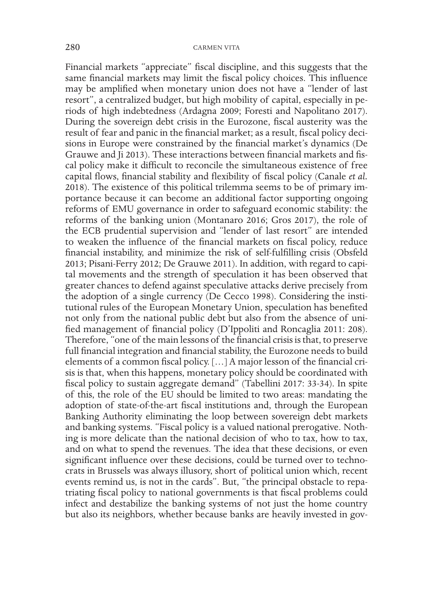Financial markets "appreciate" fiscal discipline, and this suggests that the same financial markets may limit the fiscal policy choices. This influence may be amplified when monetary union does not have a "lender of last resort", a centralized budget, but high mobility of capital, especially in periods of high indebtedness (Ardagna 2009; Foresti and Napolitano 2017). During the sovereign debt crisis in the Eurozone, fiscal austerity was the result of fear and panic in the financial market; as a result, fiscal policy decisions in Europe were constrained by the financial market's dynamics (De Grauwe and Ji 2013). These interactions between financial markets and fiscal policy make it difficult to reconcile the simultaneous existence of free capital flows, financial stability and flexibility of fiscal policy (Canale *et al.* 2018). The existence of this political trilemma seems to be of primary importance because it can become an additional factor supporting ongoing reforms of EMU governance in order to safeguard economic stability: the reforms of the banking union (Montanaro 2016; Gros 2017), the role of the ECB prudential supervision and "lender of last resort" are intended to weaken the influence of the financial markets on fiscal policy, reduce financial instability, and minimize the risk of self-fulfilling crisis (Obsfeld 2013; Pisani-Ferry 2012; De Grauwe 2011). In addition, with regard to capital movements and the strength of speculation it has been observed that greater chances to defend against speculative attacks derive precisely from the adoption of a single currency (De Cecco 1998). Considering the institutional rules of the European Monetary Union, speculation has benefited not only from the national public debt but also from the absence of unified management of financial policy (D'Ippoliti and Roncaglia 2011: 208). Therefore, "one of the main lessons of the financial crisis is that, to preserve full financial integration and financial stability, the Eurozone needs to build elements of a common fiscal policy. […] A major lesson of the financial crisis is that, when this happens, monetary policy should be coordinated with fiscal policy to sustain aggregate demand" (Tabellini 2017: 33-34). In spite of this, the role of the EU should be limited to two areas: mandating the adoption of state-of-the-art fiscal institutions and, through the European Banking Authority eliminating the loop between sovereign debt markets and banking systems. "Fiscal policy is a valued national prerogative. Nothing is more delicate than the national decision of who to tax, how to tax, and on what to spend the revenues. The idea that these decisions, or even significant influence over these decisions, could be turned over to technocrats in Brussels was always illusory, short of political union which, recent events remind us, is not in the cards". But, "the principal obstacle to repatriating fiscal policy to national governments is that fiscal problems could infect and destabilize the banking systems of not just the home country but also its neighbors, whether because banks are heavily invested in gov-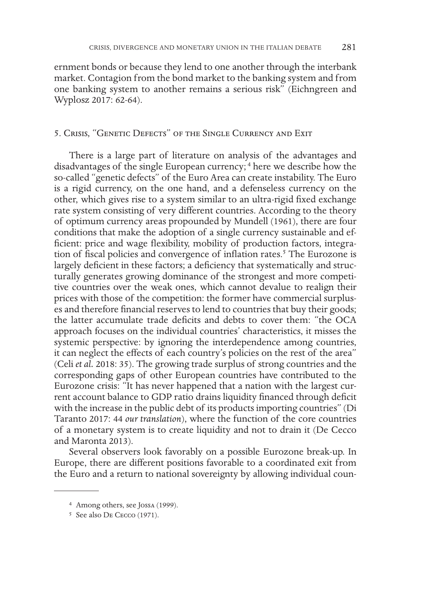ernment bonds or because they lend to one another through the interbank market. Contagion from the bond market to the banking system and from one banking system to another remains a serious risk" (Eichngreen and Wyplosz 2017: 62-64).

### 5. Crisis, "Genetic Defects" of the Single Currency and Exit

There is a large part of literature on analysis of the advantages and disadvantages of the single European currency; <sup>4</sup> here we describe how the so-called "genetic defects" of the Euro Area can create instability. The Euro is a rigid currency, on the one hand, and a defenseless currency on the other, which gives rise to a system similar to an ultra-rigid fixed exchange rate system consisting of very different countries. According to the theory of optimum currency areas propounded by Mundell (1961), there are four conditions that make the adoption of a single currency sustainable and efficient: price and wage flexibility, mobility of production factors, integration of fiscal policies and convergence of inflation rates.<sup>5</sup> The Eurozone is largely deficient in these factors; a deficiency that systematically and structurally generates growing dominance of the strongest and more competitive countries over the weak ones, which cannot devalue to realign their prices with those of the competition: the former have commercial surpluses and therefore financial reserves to lend to countries that buy their goods; the latter accumulate trade deficits and debts to cover them: "the OCA approach focuses on the individual countries' characteristics, it misses the systemic perspective: by ignoring the interdependence among countries, it can neglect the effects of each country's policies on the rest of the area" (Celi *et al.* 2018: 35). The growing trade surplus of strong countries and the corresponding gaps of other European countries have contributed to the Eurozone crisis: "It has never happened that a nation with the largest current account balance to GDP ratio drains liquidity financed through deficit with the increase in the public debt of its products importing countries" (Di Taranto 2017: 44 *our translation*), where the function of the core countries of a monetary system is to create liquidity and not to drain it (De Cecco and Maronta 2013).

Several observers look favorably on a possible Eurozone break-up. In Europe, there are different positions favorable to a coordinated exit from the Euro and a return to national sovereignty by allowing individual coun-

<sup>4</sup> Among others, see Jossa (1999).

<sup>5</sup> See also De Cecco (1971).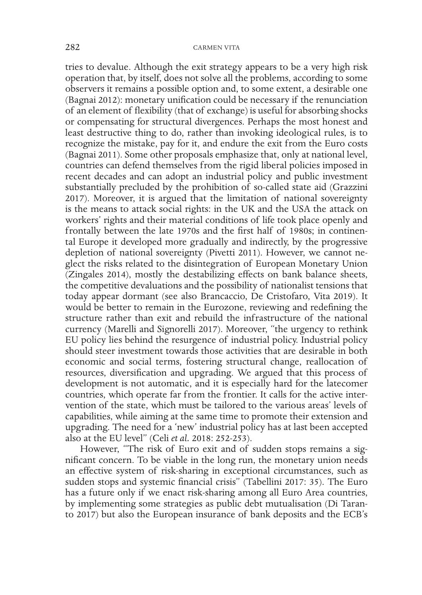tries to devalue. Although the exit strategy appears to be a very high risk operation that, by itself, does not solve all the problems, according to some observers it remains a possible option and, to some extent, a desirable one (Bagnai 2012): monetary unification could be necessary if the renunciation of an element of flexibility (that of exchange) is useful for absorbing shocks or compensating for structural divergences. Perhaps the most honest and least destructive thing to do, rather than invoking ideological rules, is to recognize the mistake, pay for it, and endure the exit from the Euro costs (Bagnai 2011). Some other proposals emphasize that, only at national level, countries can defend themselves from the rigid liberal policies imposed in recent decades and can adopt an industrial policy and public investment substantially precluded by the prohibition of so-called state aid (Grazzini 2017). Moreover, it is argued that the limitation of national sovereignty is the means to attack social rights: in the UK and the USA the attack on workers' rights and their material conditions of life took place openly and frontally between the late 1970s and the first half of 1980s; in continental Europe it developed more gradually and indirectly, by the progressive depletion of national sovereignty (Pivetti 2011). However, we cannot neglect the risks related to the disintegration of European Monetary Union (Zingales 2014), mostly the destabilizing effects on bank balance sheets, the competitive devaluations and the possibility of nationalist tensions that today appear dormant (see also Brancaccio, De Cristofaro, Vita 2019). It would be better to remain in the Eurozone, reviewing and redefining the structure rather than exit and rebuild the infrastructure of the national currency (Marelli and Signorelli 2017). Moreover, "the urgency to rethink EU policy lies behind the resurgence of industrial policy. Industrial policy should steer investment towards those activities that are desirable in both economic and social terms, fostering structural change, reallocation of resources, diversification and upgrading. We argued that this process of development is not automatic, and it is especially hard for the latecomer countries, which operate far from the frontier. It calls for the active intervention of the state, which must be tailored to the various areas' levels of capabilities, while aiming at the same time to promote their extension and upgrading. The need for a 'new' industrial policy has at last been accepted also at the EU level" (Celi *et al.* 2018: 252-253).

However, "The risk of Euro exit and of sudden stops remains a significant concern. To be viable in the long run, the monetary union needs an effective system of risk-sharing in exceptional circumstances, such as sudden stops and systemic financial crisis" (Tabellini 2017: 35). The Euro has a future only if we enact risk-sharing among all Euro Area countries, by implementing some strategies as public debt mutualisation (Di Taranto 2017) but also the European insurance of bank deposits and the ECB's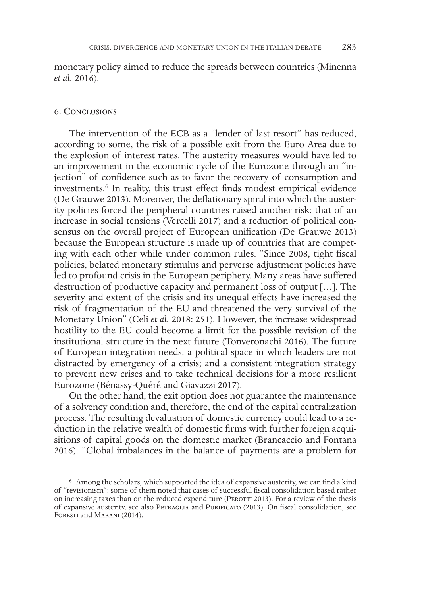monetary policy aimed to reduce the spreads between countries (Minenna *et al.* 2016).

### 6. Conclusions

The intervention of the ECB as a "lender of last resort" has reduced, according to some, the risk of a possible exit from the Euro Area due to the explosion of interest rates. The austerity measures would have led to an improvement in the economic cycle of the Eurozone through an "injection" of confidence such as to favor the recovery of consumption and investments.6 In reality, this trust effect finds modest empirical evidence (De Grauwe 2013). Moreover, the deflationary spiral into which the austerity policies forced the peripheral countries raised another risk: that of an increase in social tensions (Vercelli 2017) and a reduction of political consensus on the overall project of European unification (De Grauwe 2013) because the European structure is made up of countries that are competing with each other while under common rules. "Since 2008, tight fiscal policies, belated monetary stimulus and perverse adjustment policies have led to profound crisis in the European periphery. Many areas have suffered destruction of productive capacity and permanent loss of output […]. The severity and extent of the crisis and its unequal effects have increased the risk of fragmentation of the EU and threatened the very survival of the Monetary Union" (Celi *et al.* 2018: 251). However, the increase widespread hostility to the EU could become a limit for the possible revision of the institutional structure in the next future (Tonveronachi 2016). The future of European integration needs: a political space in which leaders are not distracted by emergency of a crisis; and a consistent integration strategy to prevent new crises and to take technical decisions for a more resilient Eurozone (Bénassy-Quéré and Giavazzi 2017).

On the other hand, the exit option does not guarantee the maintenance of a solvency condition and, therefore, the end of the capital centralization process. The resulting devaluation of domestic currency could lead to a reduction in the relative wealth of domestic firms with further foreign acquisitions of capital goods on the domestic market (Brancaccio and Fontana 2016). "Global imbalances in the balance of payments are a problem for

<sup>6</sup> Among the scholars, which supported the idea of expansive austerity, we can find a kind of "revisionism": some of them noted that cases of successful fiscal consolidation based rather on increasing taxes than on the reduced expenditure (PEROTTI 2013). For a review of the thesis of expansive austerity, see also Petraglia and Purificato (2013). On fiscal consolidation, see Foresti and Marani (2014).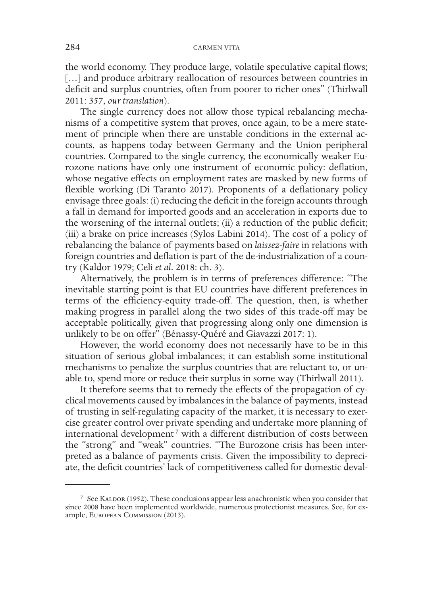the world economy. They produce large, volatile speculative capital flows; [...] and produce arbitrary reallocation of resources between countries in deficit and surplus countries, often from poorer to richer ones" (Thirlwall 2011: 357, *our translation*).

The single currency does not allow those typical rebalancing mechanisms of a competitive system that proves, once again, to be a mere statement of principle when there are unstable conditions in the external accounts, as happens today between Germany and the Union peripheral countries. Compared to the single currency, the economically weaker Eurozone nations have only one instrument of economic policy: deflation, whose negative effects on employment rates are masked by new forms of flexible working (Di Taranto 2017). Proponents of a deflationary policy envisage three goals: (i) reducing the deficit in the foreign accounts through a fall in demand for imported goods and an acceleration in exports due to the worsening of the internal outlets; (ii) a reduction of the public deficit; (iii) a brake on price increases (Sylos Labini 2014). The cost of a policy of rebalancing the balance of payments based on *laissez-faire* in relations with foreign countries and deflation is part of the de-industrialization of a country (Kaldor 1979; Celi *et al.* 2018: ch. 3).

Alternatively, the problem is in terms of preferences difference: "The inevitable starting point is that EU countries have different preferences in terms of the efficiency-equity trade-off. The question, then, is whether making progress in parallel along the two sides of this trade-off may be acceptable politically, given that progressing along only one dimension is unlikely to be on offer" (Bénassy-Quéré and Giavazzi 2017: 1).

However, the world economy does not necessarily have to be in this situation of serious global imbalances; it can establish some institutional mechanisms to penalize the surplus countries that are reluctant to, or unable to, spend more or reduce their surplus in some way (Thirlwall 2011).

It therefore seems that to remedy the effects of the propagation of cyclical movements caused by imbalances in the balance of payments, instead of trusting in self-regulating capacity of the market, it is necessary to exercise greater control over private spending and undertake more planning of international development<sup>7</sup> with a different distribution of costs between the "strong" and "weak" countries. "The Eurozone crisis has been interpreted as a balance of payments crisis. Given the impossibility to depreciate, the deficit countries' lack of competitiveness called for domestic deval-

<sup>&</sup>lt;sup>7</sup> See KALDOR (1952). These conclusions appear less anachronistic when you consider that since 2008 have been implemented worldwide, numerous protectionist measures. See, for example, European Commission (2013).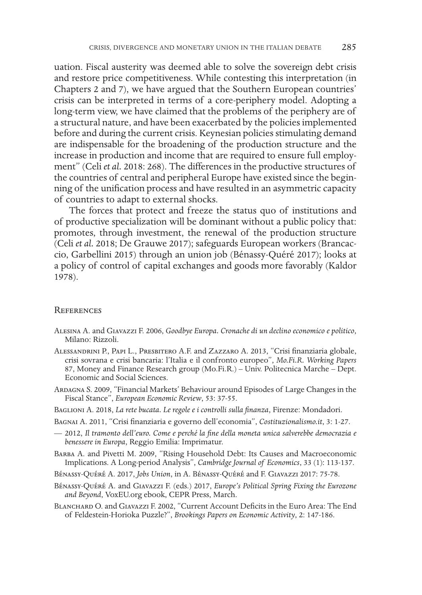uation. Fiscal austerity was deemed able to solve the sovereign debt crisis and restore price competitiveness. While contesting this interpretation (in Chapters 2 and 7), we have argued that the Southern European countries' crisis can be interpreted in terms of a core-periphery model. Adopting a long-term view, we have claimed that the problems of the periphery are of a structural nature, and have been exacerbated by the policies implemented before and during the current crisis. Keynesian policies stimulating demand are indispensable for the broadening of the production structure and the increase in production and income that are required to ensure full employment" (Celi *et al.* 2018: 268). The differences in the productive structures of the countries of central and peripheral Europe have existed since the beginning of the unification process and have resulted in an asymmetric capacity of countries to adapt to external shocks.

The forces that protect and freeze the status quo of institutions and of productive specialization will be dominant without a public policy that: promotes, through investment, the renewal of the production structure (Celi *et al.* 2018; De Grauwe 2017); safeguards European workers (Brancaccio, Garbellini 2015) through an union job (Bénassy-Quéré 2017); looks at a policy of control of capital exchanges and goods more favorably (Kaldor 1978).

#### **REFERENCES**

- Alesina A. and Giavazzi F. 2006, *Goodbye Europa. Cronache di un declino economico e politico*, Milano: Rizzoli.
- Alessandrini P., Papi L., Presbitero A.F. and Zazzaro A. 2013, "Crisi finanziaria globale, crisi sovrana e crisi bancaria: l'Italia e il confronto europeo", *Mo.Fi.R. Working Papers* 87, Money and Finance Research group (Mo.Fi.R.) – Univ. Politecnica Marche – Dept. Economic and Social Sciences.
- Ardagna S. 2009, "Financial Markets' Behaviour around Episodes of Large Changes in the Fiscal Stance", *European Economic Review*, 53: 37-55.
- Baglioni A. 2018, *La rete bucata. Le regole e i controlli sulla finanza*, Firenze: Mondadori.
- Bagnai A. 2011, "Crisi finanziaria e governo dell'economia", *Costituzionalismo.it*, 3: 1-27.
- 2012, *Il tramonto dell'euro. Come e perché la fine della moneta unica salverebbe democrazia e benessere in Europa*, Reggio Emilia: Imprimatur.
- Barba A. and Pivetti M. 2009, "Rising Household Debt: Its Causes and Macroeconomic Implications. A Long-period Analysis", *Cambridge Journal of Economics*, 33 (1): 113-137.
- Bénassy-Quéré A. 2017, *Jobs Union*, in A. Bénassy-Quéré and F. Giavazzi 2017: 75-78.
- Bénassy-Quéré A. and Giavazzi F. (eds.) 2017, *Europe's Political Spring Fixing the Eurozone and Beyond*, VoxEU.org ebook, CEPR Press, March.
- BLANCHARD O. and GIAVAZZI F. 2002, "Current Account Deficits in the Euro Area: The End of Feldestein-Horioka Puzzle?", *Brookings Papers on Economic Activity*, 2: 147-186.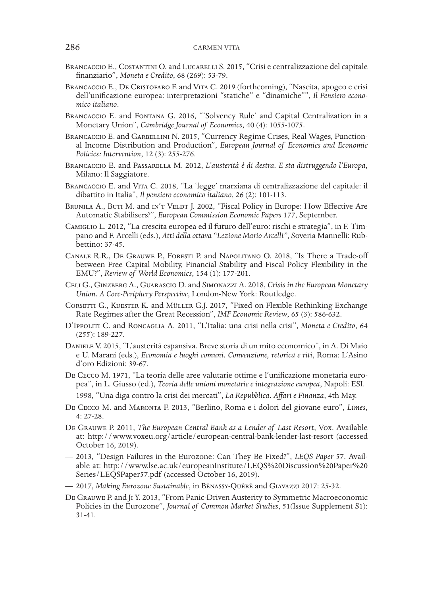- BRANCACCIO E., COSTANTINI O. and LUCARELLI S. 2015. "Crisi e centralizzazione del capitale finanziario", *Moneta e Credito*, 68 (269): 53-79.
- BRANCACCIO E., DE CRISTOFARO F. and VITA C. 2019 (forthcoming), "Nascita, apogeo e crisi dell'unificazione europea: interpretazioni "statiche" e "dinamiche"", *Il Pensiero economico italiano*.
- Brancaccio E. and Fontana G. 2016, "'Solvency Rule' and Capital Centralization in a Monetary Union", *Cambridge Journal of Economics*, 40 (4): 1055-1075.
- BRANCACCIO E. and GARBELLINI N. 2015, "Currency Regime Crises, Real Wages, Functional Income Distribution and Production", *European Journal of Economics and Economic Policies: Intervention*, 12 (3): 255-276.
- Brancaccio E. and Passarella M. 2012, *L'austerità è di destra. E sta distruggendo l'Europa*, Milano: Il Saggiatore.
- Brancaccio E. and Vita C. 2018, "La 'legge' marxiana di centralizzazione del capitale: il dibattito in Italia", *Il pensiero economico italiano*, 26 (2): 101-113.
- BRUNILA A., BUTI M. and IN'T VELDT J. 2002, "Fiscal Policy in Europe: How Effective Are Automatic Stabilisers?", *European Commission Economic Papers* 177, September.
- Camiglio L. 2012, "La crescita europea ed il futuro dell'euro: rischi e strategia", in F. Timpano and F. Arcelli (eds.), *Atti della ottava "Lezione Mario Arcelli"*, Soveria Mannelli: Rubbettino: 37-45.
- Canale R.R., De Grauwe P., Foresti P. and Napolitano O. 2018, "Is There a Trade-off between Free Capital Mobility, Financial Stability and Fiscal Policy Flexibility in the EMU?", *Review of World Economics*, 154 (1): 177-201.
- Celi G., Ginzberg A., Guarascio D. and Simonazzi A. 2018, *Crisis in the European Monetary Union. A Core-Periphery Perspective*, London-New York: Routledge.
- CORSETTI G., KUESTER K. and MÜLLER G.J. 2017, "Fixed on Flexible Rethinking Exchange Rate Regimes after the Great Recession", *IMF Economic Review*, 65 (3): 586-632.
- D'Ippoliti C. and Roncaglia A. 2011, "L'Italia: una crisi nella crisi", *Moneta e Credito*, 64 (255): 189-227.
- Daniele V. 2015, "L'austerità espansiva. Breve storia di un mito economico", in A. Di Maio e U. Marani (eds.), *Economia e luoghi comuni. Convenzione, retorica e riti*, Roma: L'Asino d'oro Edizioni: 39-67.
- De Cecco M. 1971, "La teoria delle aree valutarie ottime e l'unificazione monetaria europea", in L. Giusso (ed.), *Teoria delle unioni monetarie e integrazione europea*, Napoli: ESI.
- 1998, "Una diga contro la crisi dei mercati", *La Repubblica. Affari e Finanza*, 4th May.
- De Cecco M. and Maronta F. 2013, "Berlino, Roma e i dolori del giovane euro", *Limes*, 4: 27-28.
- De Grauwe P. 2011, *The European Central Bank as a Lender of Last Resort*, Vox. Available at: http://www.voxeu.org/article/european-central-bank-lender-last-resort (accessed October 16, 2019).
- 2013, "Design Failures in the Eurozone: Can They Be Fixed?", *LEQS Paper* 57. Available at: http://www.lse.ac.uk/europeanInstitute/LEQS%20Discussion%20Paper%20 Series/LEQSPaper57.pdf (accessed October 16, 2019).
- 2017, *Making Eurozone Sustainable*, in Bénassy-Quéré and Giavazzi 2017: 25-32.
- De Grauwe P. and Ji Y. 2013, "From Panic-Driven Austerity to Symmetric Macroeconomic Policies in the Eurozone", *Journal of Common Market Studies*, 51(Issue Supplement S1): 31-41.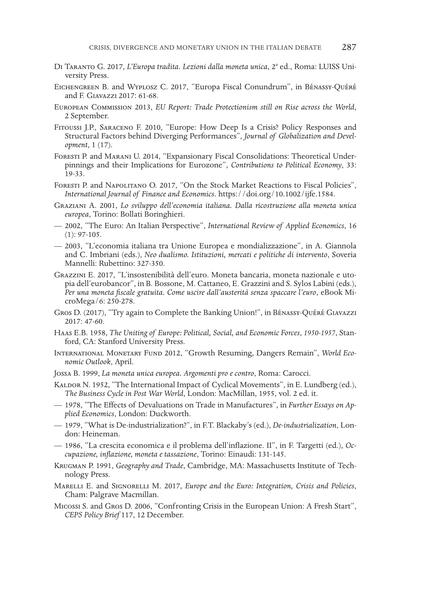- DI TARANTO G. 2017, *L'Europa tradita. Lezioni dalla moneta unica*, 2ª ed., Roma: LUISS University Press.
- Eichengreen B. and Wyplosz C. 2017, "Europa Fiscal Conundrum", in Bénassy-Quéré and F. Giavazzi 2017: 61-68.
- European Commission 2013, *EU Report: Trade Protectionism still on Rise across the World*, 2 September.
- Fitoussi J.P., Saraceno F. 2010, "Europe: How Deep Is a Crisis? Policy Responses and Structural Factors behind Diverging Performances", *Journal of Globalization and Devel- opment*, 1 (17).
- Foresti P. and Marani U. 2014, "Expansionary Fiscal Consolidations: Theoretical Under- pinnings and their Implications for Eurozone", *Contributions to Political Economy*, 33: 19-33.
- Foresti P. and Napolitano O. 2017, "On the Stock Market Reactions to Fiscal Policies", *International Journal of Finance and Economics*. https://doi.org/10.1002/ijfe.1584.
- Graziani A. 2001, *Lo sviluppo dell'economia italiana. Dalla ricostruzione alla moneta unica europea*, Torino: Bollati Boringhieri.
- 2002, "The Euro: An Italian Perspective", *International Review of Applied Economics*, 16 (1): 97-105.
- 2003, "L'economia italiana tra Unione Europea e mondializzazione", in A. Giannola and C. Imbriani (eds.), *Neo dualismo. Istituzioni, mercati e politiche di intervento*, Soveria Mannelli: Rubettino: 327-350.
- Grazzini E. 2017, "L'insostenibilità dell'euro. Moneta bancaria, moneta nazionale e uto- pia dell'eurobancor", in B. Bossone, M. Cattaneo, E. Grazzini and S. Sylos Labini (eds.), *Per una moneta fiscale gratuita. Come uscire dall'austerità senza spaccare l'euro*, eBook Mi- croMega/6: 250-278.
- Gros D. (2017), "Try again to Complete the Banking Union!", in Bénassy-Quéré Giavazzi 2017: 47-60.
- Haas E.B. 1958, *The Uniting of Europe: Political, Social, and Economic Forces*, *1950-1957*, Stan- ford, CA: Stanford University Press.
- International Monetary Fund 2012, "Growth Resuming, Dangers Remain", *World Eco- nomic Outlook*, April.
- Jossa B. 1999, *La moneta unica europea. Argomenti pro e contro*, Roma: Carocci.
- KALDOR N. 1952, "The International Impact of Cyclical Movements", in E. Lundberg (ed.), *The Business Cycle in Post War World*, London: MacMillan, 1955, vol. 2 ed. it.
- 1978, "The Effects of Devaluations on Trade in Manufactures", in *Further Essays on Ap- plied Economics*, London: Duckworth.
- 1979, "What is De-industrialization?", in F.T. Blackaby's (ed.), *De-industrialization*, Lon- don: Heineman.
- 1986, "La crescita economica e il problema dell'inflazione. II", in F. Targetti (ed.), *Oc- cupazione, inflazione, moneta e tassazione*, Torino: Einaudi: 131-145.
- Krugman P. 1991, *Geography and Trade*, Cambridge, MA: Massachusetts Institute of Tech- nology Press.
- Marelli E. and Signorelli M. 2017, *Europe and the Euro: Integration, Crisis and Policies*, Cham: Palgrave Macmillan.
- Micossi S. and Gros D. 2006, "Confronting Crisis in the European Union: A Fresh Start", *CEPS Policy Brief* 117, 12 December.